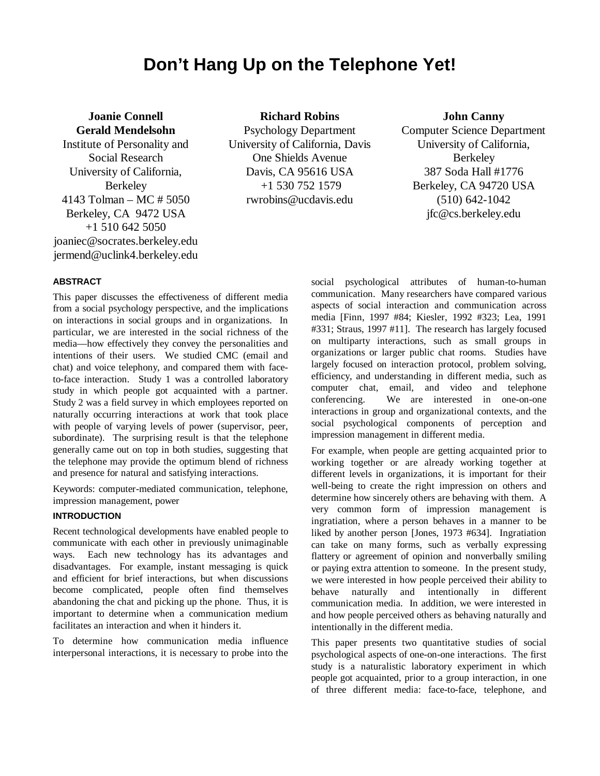# **Don't Hang Up on the Telephone Yet!**

**Joanie Connell Gerald Mendelsohn** Institute of Personality and Social Research University of California, Berkeley 4143 Tolman – MC # 5050 Berkeley, CA 9472 USA +1 510 642 5050 joaniec@socrates.berkeley.edu jermend@uclink4.berkeley.edu

#### **Richard Robins**

Psychology Department University of California, Davis One Shields Avenue Davis, CA 95616 USA +1 530 752 1579 rwrobins@ucdavis.edu

# **John Canny**

Computer Science Department University of California, Berkeley 387 Soda Hall #1776 Berkeley, CA 94720 USA (510) 642-1042 jfc@cs.berkeley.edu

# **ABSTRACT**

This paper discusses the effectiveness of different media from a social psychology perspective, and the implications on interactions in social groups and in organizations. In particular, we are interested in the social richness of the media—how effectively they convey the personalities and intentions of their users. We studied CMC (email and chat) and voice telephony, and compared them with faceto-face interaction. Study 1 was a controlled laboratory study in which people got acquainted with a partner. Study 2 was a field survey in which employees reported on naturally occurring interactions at work that took place with people of varying levels of power (supervisor, peer, subordinate). The surprising result is that the telephone generally came out on top in both studies, suggesting that the telephone may provide the optimum blend of richness and presence for natural and satisfying interactions.

Keywords: computer-mediated communication, telephone, impression management, power

#### **INTRODUCTION**

Recent technological developments have enabled people to communicate with each other in previously unimaginable ways. Each new technology has its advantages and disadvantages. For example, instant messaging is quick and efficient for brief interactions, but when discussions become complicated, people often find themselves abandoning the chat and picking up the phone. Thus, it is important to determine when a communication medium facilitates an interaction and when it hinders it.

To determine how communication media influence interpersonal interactions, it is necessary to probe into the

social psychological attributes of human-to-human communication. Many researchers have compared various aspects of social interaction and communication across media [Finn, 1997 #84; Kiesler, 1992 #323; Lea, 1991 #331; Straus, 1997 #11]. The research has largely focused on multiparty interactions, such as small groups in organizations or larger public chat rooms. Studies have largely focused on interaction protocol, problem solving, efficiency, and understanding in different media, such as computer chat, email, and video and telephone conferencing. We are interested in one-on-one interactions in group and organizational contexts, and the social psychological components of perception and impression management in different media.

For example, when people are getting acquainted prior to working together or are already working together at different levels in organizations, it is important for their well-being to create the right impression on others and determine how sincerely others are behaving with them. A very common form of impression management is ingratiation, where a person behaves in a manner to be liked by another person [Jones, 1973 #634]. Ingratiation can take on many forms, such as verbally expressing flattery or agreement of opinion and nonverbally smiling or paying extra attention to someone. In the present study, we were interested in how people perceived their ability to behave naturally and intentionally in different communication media. In addition, we were interested in and how people perceived others as behaving naturally and intentionally in the different media.

This paper presents two quantitative studies of social psychological aspects of one-on-one interactions. The first study is a naturalistic laboratory experiment in which people got acquainted, prior to a group interaction, in one of three different media: face-to-face, telephone, and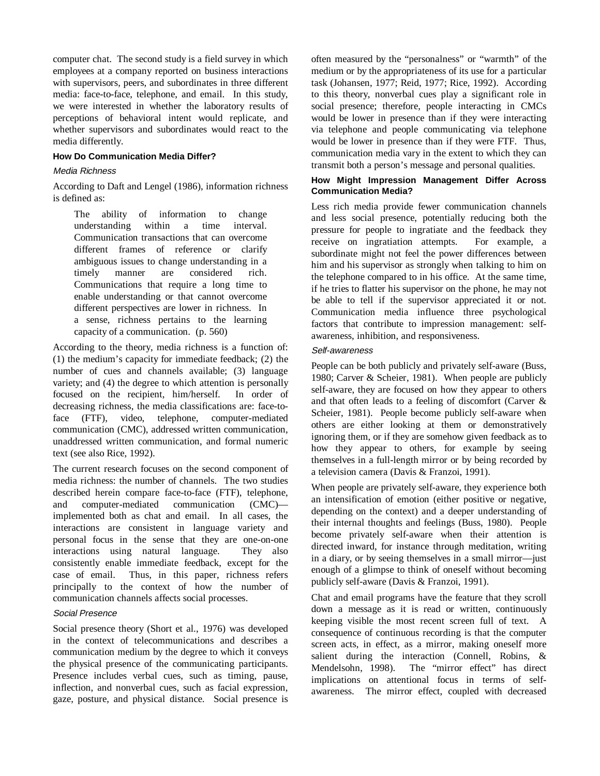computer chat. The second study is a field survey in which employees at a company reported on business interactions with supervisors, peers, and subordinates in three different media: face-to-face, telephone, and email. In this study, we were interested in whether the laboratory results of perceptions of behavioral intent would replicate, and whether supervisors and subordinates would react to the media differently.

# **How Do Communication Media Differ?**

#### Media Richness

According to Daft and Lengel (1986), information richness is defined as:

The ability of information to change understanding within a time interval. Communication transactions that can overcome different frames of reference or clarify ambiguous issues to change understanding in a timely manner are considered rich. Communications that require a long time to enable understanding or that cannot overcome different perspectives are lower in richness. In a sense, richness pertains to the learning capacity of a communication. (p. 560)

According to the theory, media richness is a function of: (1) the medium's capacity for immediate feedback; (2) the number of cues and channels available; (3) language variety; and (4) the degree to which attention is personally focused on the recipient, him/herself. In order of decreasing richness, the media classifications are: face-toface (FTF), video, telephone, computer-mediated communication (CMC), addressed written communication, unaddressed written communication, and formal numeric text (see also Rice, 1992).

The current research focuses on the second component of media richness: the number of channels. The two studies described herein compare face-to-face (FTF), telephone, and computer-mediated communication (CMC) implemented both as chat and email. In all cases, the interactions are consistent in language variety and personal focus in the sense that they are one-on-one interactions using natural language. They also consistently enable immediate feedback, except for the case of email. Thus, in this paper, richness refers principally to the context of how the number of communication channels affects social processes.

#### Social Presence

Social presence theory (Short et al., 1976) was developed in the context of telecommunications and describes a communication medium by the degree to which it conveys the physical presence of the communicating participants. Presence includes verbal cues, such as timing, pause, inflection, and nonverbal cues, such as facial expression, gaze, posture, and physical distance. Social presence is

often measured by the "personalness" or "warmth" of the medium or by the appropriateness of its use for a particular task (Johansen, 1977; Reid, 1977; Rice, 1992). According to this theory, nonverbal cues play a significant role in social presence; therefore, people interacting in CMCs would be lower in presence than if they were interacting via telephone and people communicating via telephone would be lower in presence than if they were FTF. Thus, communication media vary in the extent to which they can transmit both a person's message and personal qualities.

### **How Might Impression Management Differ Across Communication Media?**

Less rich media provide fewer communication channels and less social presence, potentially reducing both the pressure for people to ingratiate and the feedback they receive on ingratiation attempts. For example, a subordinate might not feel the power differences between him and his supervisor as strongly when talking to him on the telephone compared to in his office. At the same time, if he tries to flatter his supervisor on the phone, he may not be able to tell if the supervisor appreciated it or not. Communication media influence three psychological factors that contribute to impression management: selfawareness, inhibition, and responsiveness.

# Self-awareness

People can be both publicly and privately self-aware (Buss, 1980; Carver & Scheier, 1981). When people are publicly self-aware, they are focused on how they appear to others and that often leads to a feeling of discomfort (Carver & Scheier, 1981). People become publicly self-aware when others are either looking at them or demonstratively ignoring them, or if they are somehow given feedback as to how they appear to others, for example by seeing themselves in a full-length mirror or by being recorded by a television camera (Davis & Franzoi, 1991).

When people are privately self-aware, they experience both an intensification of emotion (either positive or negative, depending on the context) and a deeper understanding of their internal thoughts and feelings (Buss, 1980). People become privately self-aware when their attention is directed inward, for instance through meditation, writing in a diary, or by seeing themselves in a small mirror—just enough of a glimpse to think of oneself without becoming publicly self-aware (Davis & Franzoi, 1991).

Chat and email programs have the feature that they scroll down a message as it is read or written, continuously keeping visible the most recent screen full of text. A consequence of continuous recording is that the computer screen acts, in effect, as a mirror, making oneself more salient during the interaction (Connell, Robins, & Mendelsohn, 1998). The "mirror effect" has direct implications on attentional focus in terms of selfawareness. The mirror effect, coupled with decreased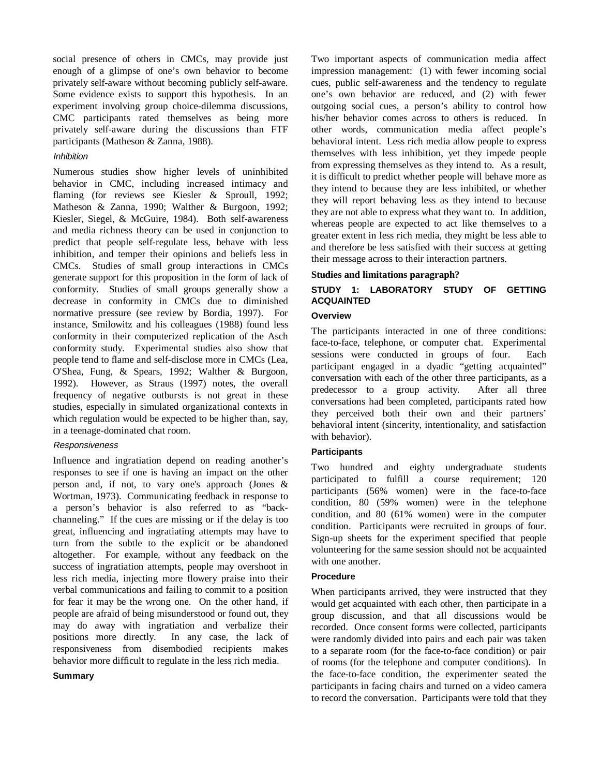social presence of others in CMCs, may provide just enough of a glimpse of one's own behavior to become privately self-aware without becoming publicly self-aware. Some evidence exists to support this hypothesis. In an experiment involving group choice-dilemma discussions, CMC participants rated themselves as being more privately self-aware during the discussions than FTF participants (Matheson & Zanna, 1988).

# Inhibition

Numerous studies show higher levels of uninhibited behavior in CMC, including increased intimacy and flaming (for reviews see Kiesler & Sproull, 1992; Matheson & Zanna, 1990; Walther & Burgoon, 1992; Kiesler, Siegel, & McGuire, 1984). Both self-awareness and media richness theory can be used in conjunction to predict that people self-regulate less, behave with less inhibition, and temper their opinions and beliefs less in CMCs. Studies of small group interactions in CMCs generate support for this proposition in the form of lack of conformity. Studies of small groups generally show a decrease in conformity in CMCs due to diminished normative pressure (see review by Bordia, 1997). For instance, Smilowitz and his colleagues (1988) found less conformity in their computerized replication of the Asch conformity study. Experimental studies also show that people tend to flame and self-disclose more in CMCs (Lea, O'Shea, Fung, & Spears, 1992; Walther & Burgoon, 1992). However, as Straus (1997) notes, the overall frequency of negative outbursts is not great in these studies, especially in simulated organizational contexts in which regulation would be expected to be higher than, say, in a teenage-dominated chat room.

#### Responsiveness

Influence and ingratiation depend on reading another's responses to see if one is having an impact on the other person and, if not, to vary one's approach (Jones & Wortman, 1973). Communicating feedback in response to a person's behavior is also referred to as "backchanneling." If the cues are missing or if the delay is too great, influencing and ingratiating attempts may have to turn from the subtle to the explicit or be abandoned altogether. For example, without any feedback on the success of ingratiation attempts, people may overshoot in less rich media, injecting more flowery praise into their verbal communications and failing to commit to a position for fear it may be the wrong one. On the other hand, if people are afraid of being misunderstood or found out, they may do away with ingratiation and verbalize their positions more directly. In any case, the lack of responsiveness from disembodied recipients makes behavior more difficult to regulate in the less rich media.

#### **Summary**

Two important aspects of communication media affect impression management: (1) with fewer incoming social cues, public self-awareness and the tendency to regulate one's own behavior are reduced, and (2) with fewer outgoing social cues, a person's ability to control how his/her behavior comes across to others is reduced. In other words, communication media affect people's behavioral intent. Less rich media allow people to express themselves with less inhibition, yet they impede people from expressing themselves as they intend to. As a result, it is difficult to predict whether people will behave more as they intend to because they are less inhibited, or whether they will report behaving less as they intend to because they are not able to express what they want to. In addition, whereas people are expected to act like themselves to a greater extent in less rich media, they might be less able to and therefore be less satisfied with their success at getting their message across to their interaction partners.

#### **Studies and limitations paragraph?**

# **STUDY 1: LABORATORY STUDY OF GETTING ACQUAINTED**

#### **Overview**

The participants interacted in one of three conditions: face-to-face, telephone, or computer chat. Experimental sessions were conducted in groups of four. Each participant engaged in a dyadic "getting acquainted" conversation with each of the other three participants, as a predecessor to a group activity. After all three conversations had been completed, participants rated how they perceived both their own and their partners' behavioral intent (sincerity, intentionality, and satisfaction with behavior).

# **Participants**

Two hundred and eighty undergraduate students participated to fulfill a course requirement; 120 participants (56% women) were in the face-to-face condition, 80 (59% women) were in the telephone condition, and 80 (61% women) were in the computer condition. Participants were recruited in groups of four. Sign-up sheets for the experiment specified that people volunteering for the same session should not be acquainted with one another.

# **Procedure**

When participants arrived, they were instructed that they would get acquainted with each other, then participate in a group discussion, and that all discussions would be recorded. Once consent forms were collected, participants were randomly divided into pairs and each pair was taken to a separate room (for the face-to-face condition) or pair of rooms (for the telephone and computer conditions). In the face-to-face condition, the experimenter seated the participants in facing chairs and turned on a video camera to record the conversation. Participants were told that they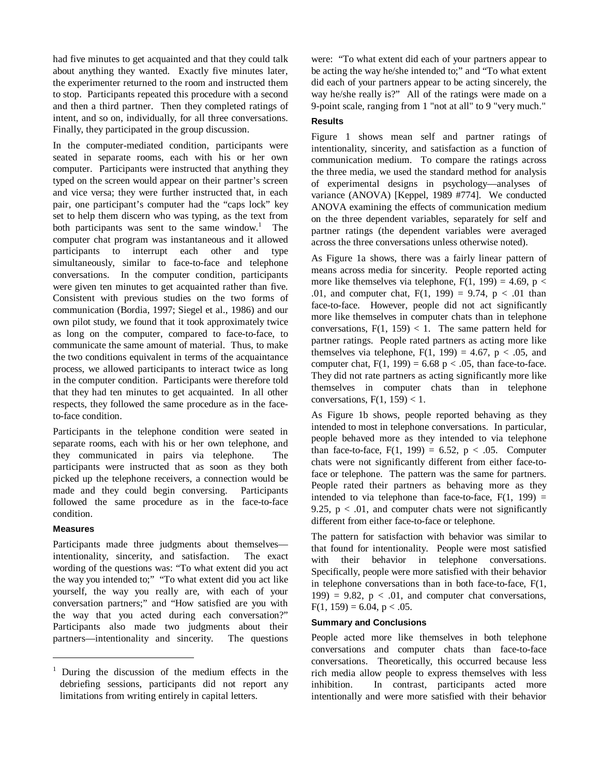had five minutes to get acquainted and that they could talk about anything they wanted. Exactly five minutes later, the experimenter returned to the room and instructed them to stop. Participants repeated this procedure with a second and then a third partner. Then they completed ratings of intent, and so on, individually, for all three conversations. Finally, they participated in the group discussion.

In the computer-mediated condition, participants were seated in separate rooms, each with his or her own computer. Participants were instructed that anything they typed on the screen would appear on their partner's screen and vice versa; they were further instructed that, in each pair, one participant's computer had the "caps lock" key set to help them discern who was typing, as the text from both participants was sent to the same window.<sup>1</sup> The computer chat program was instantaneous and it allowed participants to interrupt each other and type simultaneously, similar to face-to-face and telephone conversations. In the computer condition, participants were given ten minutes to get acquainted rather than five. Consistent with previous studies on the two forms of communication (Bordia, 1997; Siegel et al., 1986) and our own pilot study, we found that it took approximately twice as long on the computer, compared to face-to-face, to communicate the same amount of material. Thus, to make the two conditions equivalent in terms of the acquaintance process, we allowed participants to interact twice as long in the computer condition. Participants were therefore told that they had ten minutes to get acquainted. In all other respects, they followed the same procedure as in the faceto-face condition.

Participants in the telephone condition were seated in separate rooms, each with his or her own telephone, and they communicated in pairs via telephone. The participants were instructed that as soon as they both picked up the telephone receivers, a connection would be made and they could begin conversing. Participants followed the same procedure as in the face-to-face condition.

# **Measures**

 $\overline{a}$ 

Participants made three judgments about themselves intentionality, sincerity, and satisfaction. The exact wording of the questions was: "To what extent did you act the way you intended to;" "To what extent did you act like yourself, the way you really are, with each of your conversation partners;" and "How satisfied are you with the way that you acted during each conversation?" Participants also made two judgments about their partners—intentionality and sincerity. The questions

were: "To what extent did each of your partners appear to be acting the way he/she intended to;" and "To what extent did each of your partners appear to be acting sincerely, the way he/she really is?" All of the ratings were made on a 9-point scale, ranging from 1 "not at all" to 9 "very much."

# **Results**

Figure 1 shows mean self and partner ratings of intentionality, sincerity, and satisfaction as a function of communication medium. To compare the ratings across the three media, we used the standard method for analysis of experimental designs in psychology—analyses of variance (ANOVA) [Keppel, 1989 #774]. We conducted ANOVA examining the effects of communication medium on the three dependent variables, separately for self and partner ratings (the dependent variables were averaged across the three conversations unless otherwise noted).

As Figure 1a shows, there was a fairly linear pattern of means across media for sincerity. People reported acting more like themselves via telephone,  $F(1, 199) = 4.69$ ,  $p <$ .01, and computer chat,  $F(1, 199) = 9.74$ ,  $p < .01$  than face-to-face. However, people did not act significantly more like themselves in computer chats than in telephone conversations,  $F(1, 159) < 1$ . The same pattern held for partner ratings. People rated partners as acting more like themselves via telephone,  $F(1, 199) = 4.67$ ,  $p < .05$ , and computer chat,  $F(1, 199) = 6.68 \text{ p} < .05$ , than face-to-face. They did not rate partners as acting significantly more like themselves in computer chats than in telephone conversations,  $F(1, 159) < 1$ .

As Figure 1b shows, people reported behaving as they intended to most in telephone conversations. In particular, people behaved more as they intended to via telephone than face-to-face,  $F(1, 199) = 6.52$ ,  $p < .05$ . Computer chats were not significantly different from either face-toface or telephone. The pattern was the same for partners. People rated their partners as behaving more as they intended to via telephone than face-to-face,  $F(1, 199) =$ 9.25,  $p < .01$ , and computer chats were not significantly different from either face-to-face or telephone.

The pattern for satisfaction with behavior was similar to that found for intentionality. People were most satisfied with their behavior in telephone conversations. Specifically, people were more satisfied with their behavior in telephone conversations than in both face-to-face, F(1, 199) = 9.82,  $p < .01$ , and computer chat conversations,  $F(1, 159) = 6.04$ , p < .05.

#### **Summary and Conclusions**

People acted more like themselves in both telephone conversations and computer chats than face-to-face conversations. Theoretically, this occurred because less rich media allow people to express themselves with less inhibition. In contrast, participants acted more intentionally and were more satisfied with their behavior

<sup>1</sup> During the discussion of the medium effects in the debriefing sessions, participants did not report any limitations from writing entirely in capital letters.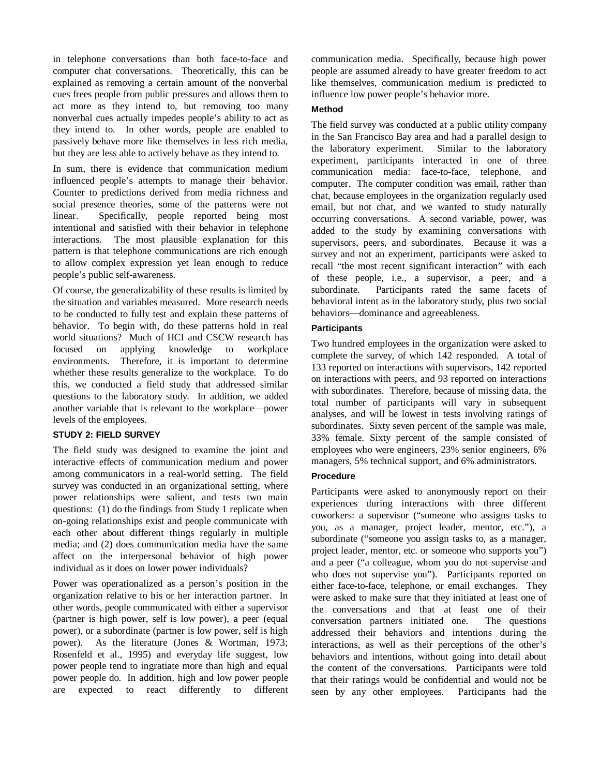in telephone conversations than both face-to-face and computer chat conversations. Theoretically, this can be explained as removing a certain amount of the nonverbal cues frees people from public pressures and allows them to act more as they intend to, but removing too many nonverbal cues actually impedes people's ability to act as they intend to. In other words, people are enabled to passively behave more like themselves in less rich media, but they are less able to actively behave as they intend to.

In sum, there is evidence that communication medium influenced people's attempts to manage their behavior. Counter to predictions derived from media richness and social presence theories, some of the patterns were not linear. Specifically, people reported being most intentional and satisfied with their behavior in telephone interactions. The most plausible explanation for this pattern is that telephone communications are rich enough to allow complex expression yet lean enough to reduce people's public self-awareness.

Of course, the generalizability of these results is limited by the situation and variables measured. More research needs to be conducted to fully test and explain these patterns of behavior. To begin with, do these patterns hold in real world situations? Much of HCI and CSCW research has focused on applying knowledge to workplace environments. Therefore, it is important to determine whether these results generalize to the workplace. To do this, we conducted a field study that addressed similar questions to the laboratory study. In addition, we added another variable that is relevant to the workplace—power levels of the employees.

# **STUDY 2: FIELD SURVEY**

The field study was designed to examine the joint and interactive effects of communication medium and power among communicators in a real-world setting. The field survey was conducted in an organizational setting, where power relationships were salient, and tests two main questions: (1) do the findings from Study 1 replicate when on-going relationships exist and people communicate with each other about different things regularly in multiple media; and (2) does communication media have the same affect on the interpersonal behavior of high power individual as it does on lower power individuals?

Power was operationalized as a person's position in the organization relative to his or her interaction partner. In other words, people communicated with either a supervisor (partner is high power, self is low power), a peer (equal power), or a subordinate (partner is low power, self is high power). As the literature (Jones & Wortman, 1973; Rosenfeld et al., 1995) and everyday life suggest, low power people tend to ingratiate more than high and equal power people do. In addition, high and low power people are expected to react differently to different

communication media. Specifically, because high power people are assumed already to have greater freedom to act like themselves, communication medium is predicted to influence low power people's behavior more.

# **Method**

The field survey was conducted at a public utility company in the San Francisco Bay area and had a parallel design to the laboratory experiment. Similar to the laboratory experiment, participants interacted in one of three communication media: face-to-face, telephone, and computer. The computer condition was email, rather than chat, because employees in the organization regularly used email, but not chat, and we wanted to study naturally occurring conversations. A second variable, power, was added to the study by examining conversations with supervisors, peers, and subordinates. Because it was a survey and not an experiment, participants were asked to recall "the most recent significant interaction" with each of these people, i.e., a supervisor, a peer, and a subordinate. Participants rated the same facets of behavioral intent as in the laboratory study, plus two social behaviors—dominance and agreeableness.

# **Participants**

Two hundred employees in the organization were asked to complete the survey, of which 142 responded. A total of 133 reported on interactions with supervisors, 142 reported on interactions with peers, and 93 reported on interactions with subordinates. Therefore, because of missing data, the total number of participants will vary in subsequent analyses, and will be lowest in tests involving ratings of subordinates. Sixty seven percent of the sample was male, 33% female. Sixty percent of the sample consisted of employees who were engineers, 23% senior engineers, 6% managers, 5% technical support, and 6% administrators.

# **Procedure**

Participants were asked to anonymously report on their experiences during interactions with three different coworkers: a supervisor ("someone who assigns tasks to you, as a manager, project leader, mentor, etc."), a subordinate ("someone you assign tasks to, as a manager, project leader, mentor, etc. or someone who supports you") and a peer ("a colleague, whom you do not supervise and who does not supervise you"). Participants reported on either face-to-face, telephone, or email exchanges. They were asked to make sure that they initiated at least one of the conversations and that at least one of their conversation partners initiated one. The questions addressed their behaviors and intentions during the interactions, as well as their perceptions of the other's behaviors and intentions, without going into detail about the content of the conversations. Participants were told that their ratings would be confidential and would not be seen by any other employees. Participants had the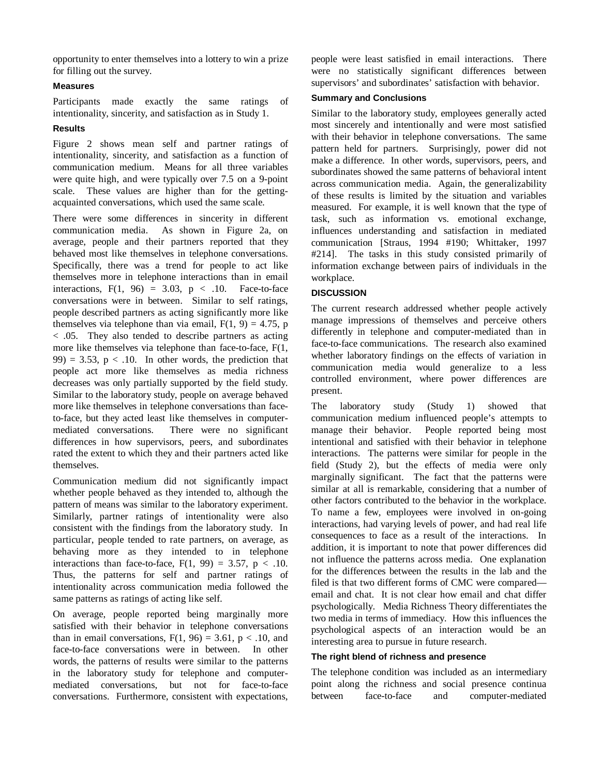opportunity to enter themselves into a lottery to win a prize for filling out the survey.

# **Measures**

Participants made exactly the same ratings of intentionality, sincerity, and satisfaction as in Study 1.

# **Results**

Figure 2 shows mean self and partner ratings of intentionality, sincerity, and satisfaction as a function of communication medium. Means for all three variables were quite high, and were typically over 7.5 on a 9-point scale. These values are higher than for the gettingacquainted conversations, which used the same scale.

There were some differences in sincerity in different communication media. As shown in Figure 2a, on average, people and their partners reported that they behaved most like themselves in telephone conversations. Specifically, there was a trend for people to act like themselves more in telephone interactions than in email interactions,  $F(1, 96) = 3.03$ ,  $p < .10$ . Face-to-face conversations were in between. Similar to self ratings, people described partners as acting significantly more like themselves via telephone than via email,  $F(1, 9) = 4.75$ , p < .05. They also tended to describe partners as acting more like themselves via telephone than face-to-face, F(1, 99) = 3.53,  $p < 0.10$ . In other words, the prediction that people act more like themselves as media richness decreases was only partially supported by the field study. Similar to the laboratory study, people on average behaved more like themselves in telephone conversations than faceto-face, but they acted least like themselves in computermediated conversations. There were no significant differences in how supervisors, peers, and subordinates rated the extent to which they and their partners acted like themselves.

Communication medium did not significantly impact whether people behaved as they intended to, although the pattern of means was similar to the laboratory experiment. Similarly, partner ratings of intentionality were also consistent with the findings from the laboratory study. In particular, people tended to rate partners, on average, as behaving more as they intended to in telephone interactions than face-to-face,  $F(1, 99) = 3.57$ ,  $p < .10$ . Thus, the patterns for self and partner ratings of intentionality across communication media followed the same patterns as ratings of acting like self.

On average, people reported being marginally more satisfied with their behavior in telephone conversations than in email conversations,  $F(1, 96) = 3.61$ ,  $p < .10$ , and face-to-face conversations were in between. In other words, the patterns of results were similar to the patterns in the laboratory study for telephone and computermediated conversations, but not for face-to-face conversations. Furthermore, consistent with expectations,

people were least satisfied in email interactions. There were no statistically significant differences between supervisors' and subordinates' satisfaction with behavior.

# **Summary and Conclusions**

Similar to the laboratory study, employees generally acted most sincerely and intentionally and were most satisfied with their behavior in telephone conversations. The same pattern held for partners. Surprisingly, power did not make a difference. In other words, supervisors, peers, and subordinates showed the same patterns of behavioral intent across communication media. Again, the generalizability of these results is limited by the situation and variables measured. For example, it is well known that the type of task, such as information vs. emotional exchange, influences understanding and satisfaction in mediated communication [Straus, 1994 #190; Whittaker, 1997 #214]. The tasks in this study consisted primarily of information exchange between pairs of individuals in the workplace.

# **DISCUSSION**

The current research addressed whether people actively manage impressions of themselves and perceive others differently in telephone and computer-mediated than in face-to-face communications. The research also examined whether laboratory findings on the effects of variation in communication media would generalize to a less controlled environment, where power differences are present.

The laboratory study (Study 1) showed that communication medium influenced people's attempts to manage their behavior. People reported being most intentional and satisfied with their behavior in telephone interactions. The patterns were similar for people in the field (Study 2), but the effects of media were only marginally significant. The fact that the patterns were similar at all is remarkable, considering that a number of other factors contributed to the behavior in the workplace. To name a few, employees were involved in on-going interactions, had varying levels of power, and had real life consequences to face as a result of the interactions. In addition, it is important to note that power differences did not influence the patterns across media. One explanation for the differences between the results in the lab and the filed is that two different forms of CMC were compared email and chat. It is not clear how email and chat differ psychologically. Media Richness Theory differentiates the two media in terms of immediacy. How this influences the psychological aspects of an interaction would be an interesting area to pursue in future research.

# **The right blend of richness and presence**

The telephone condition was included as an intermediary point along the richness and social presence continua between face-to-face and computer-mediated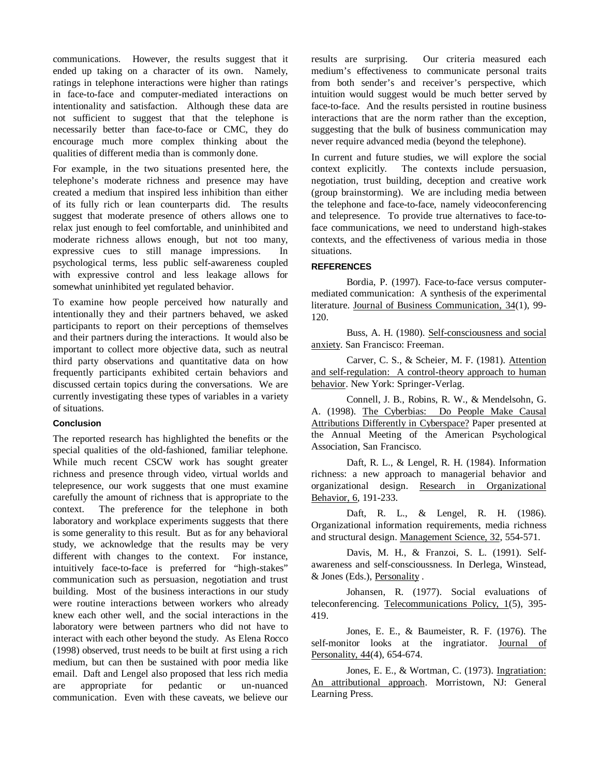communications. However, the results suggest that it ended up taking on a character of its own. Namely, ratings in telephone interactions were higher than ratings in face-to-face and computer-mediated interactions on intentionality and satisfaction. Although these data are not sufficient to suggest that that the telephone is necessarily better than face-to-face or CMC, they do encourage much more complex thinking about the qualities of different media than is commonly done.

For example, in the two situations presented here, the telephone's moderate richness and presence may have created a medium that inspired less inhibition than either of its fully rich or lean counterparts did. The results suggest that moderate presence of others allows one to relax just enough to feel comfortable, and uninhibited and moderate richness allows enough, but not too many, expressive cues to still manage impressions. In psychological terms, less public self-awareness coupled with expressive control and less leakage allows for somewhat uninhibited yet regulated behavior.

To examine how people perceived how naturally and intentionally they and their partners behaved, we asked participants to report on their perceptions of themselves and their partners during the interactions. It would also be important to collect more objective data, such as neutral third party observations and quantitative data on how frequently participants exhibited certain behaviors and discussed certain topics during the conversations. We are currently investigating these types of variables in a variety of situations.

# **Conclusion**

The reported research has highlighted the benefits or the special qualities of the old-fashioned, familiar telephone. While much recent CSCW work has sought greater richness and presence through video, virtual worlds and telepresence, our work suggests that one must examine carefully the amount of richness that is appropriate to the context. The preference for the telephone in both laboratory and workplace experiments suggests that there is some generality to this result. But as for any behavioral study, we acknowledge that the results may be very different with changes to the context. For instance, intuitively face-to-face is preferred for "high-stakes" communication such as persuasion, negotiation and trust building. Most of the business interactions in our study were routine interactions between workers who already knew each other well, and the social interactions in the laboratory were between partners who did not have to interact with each other beyond the study. As Elena Rocco (1998) observed, trust needs to be built at first using a rich medium, but can then be sustained with poor media like email. Daft and Lengel also proposed that less rich media are appropriate for pedantic or un-nuanced communication. Even with these caveats, we believe our

results are surprising. Our criteria measured each medium's effectiveness to communicate personal traits from both sender's and receiver's perspective, which intuition would suggest would be much better served by face-to-face. And the results persisted in routine business interactions that are the norm rather than the exception, suggesting that the bulk of business communication may never require advanced media (beyond the telephone).

In current and future studies, we will explore the social context explicitly. The contexts include persuasion, negotiation, trust building, deception and creative work (group brainstorming). We are including media between the telephone and face-to-face, namely videoconferencing and telepresence. To provide true alternatives to face-toface communications, we need to understand high-stakes contexts, and the effectiveness of various media in those situations.

# **REFERENCES**

Bordia, P. (1997). Face-to-face versus computermediated communication: A synthesis of the experimental literature. Journal of Business Communication, 34(1), 99- 120.

Buss, A. H. (1980). Self-consciousness and social anxiety. San Francisco: Freeman.

Carver, C. S., & Scheier, M. F. (1981). Attention and self-regulation: A control-theory approach to human behavior. New York: Springer-Verlag.

Connell, J. B., Robins, R. W., & Mendelsohn, G. A. (1998). The Cyberbias: Do People Make Causal Attributions Differently in Cyberspace? Paper presented at the Annual Meeting of the American Psychological Association, San Francisco.

Daft, R. L., & Lengel, R. H. (1984). Information richness: a new approach to managerial behavior and organizational design. Research in Organizational Behavior, 6, 191-233.

Daft, R. L., & Lengel, R. H. (1986). Organizational information requirements, media richness and structural design. Management Science, 32, 554-571.

Davis, M. H., & Franzoi, S. L. (1991). Selfawareness and self-conscioussness. In Derlega, Winstead, & Jones (Eds.), Personality .

Johansen, R. (1977). Social evaluations of teleconferencing. Telecommunications Policy, 1(5), 395- 419.

Jones, E. E., & Baumeister, R. F. (1976). The self-monitor looks at the ingratiator. Journal of Personality, 44(4), 654-674.

Jones, E. E., & Wortman, C. (1973). Ingratiation: An attributional approach. Morristown, NJ: General Learning Press.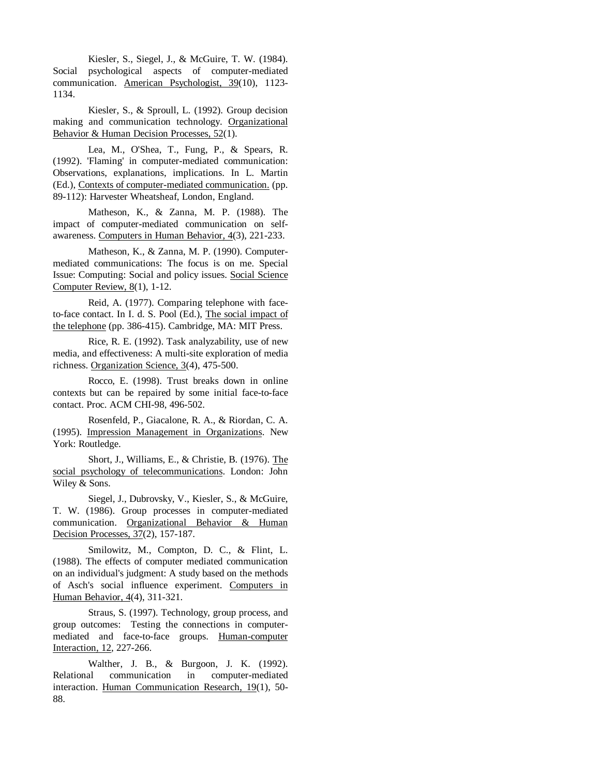Kiesler, S., Siegel, J., & McGuire, T. W. (1984). Social psychological aspects of computer-mediated communication. American Psychologist, 39(10), 1123- 1134.

Kiesler, S., & Sproull, L. (1992). Group decision making and communication technology. Organizational Behavior & Human Decision Processes, 52(1).

Lea, M., O'Shea, T., Fung, P., & Spears, R. (1992). 'Flaming' in computer-mediated communication: Observations, explanations, implications. In L. Martin (Ed.), Contexts of computer-mediated communication. (pp. 89-112): Harvester Wheatsheaf, London, England.

Matheson, K., & Zanna, M. P. (1988). The impact of computer-mediated communication on selfawareness. Computers in Human Behavior, 4(3), 221-233.

Matheson, K., & Zanna, M. P. (1990). Computermediated communications: The focus is on me. Special Issue: Computing: Social and policy issues. Social Science Computer Review, 8(1), 1-12.

Reid, A. (1977). Comparing telephone with faceto-face contact. In I. d. S. Pool (Ed.), The social impact of the telephone (pp. 386-415). Cambridge, MA: MIT Press.

Rice, R. E. (1992). Task analyzability, use of new media, and effectiveness: A multi-site exploration of media richness. Organization Science, 3(4), 475-500.

Rocco, E. (1998). Trust breaks down in online contexts but can be repaired by some initial face-to-face contact. Proc. ACM CHI-98, 496-502.

Rosenfeld, P., Giacalone, R. A., & Riordan, C. A. (1995). Impression Management in Organizations. New York: Routledge.

Short, J., Williams, E., & Christie, B. (1976). The social psychology of telecommunications. London: John Wiley & Sons.

Siegel, J., Dubrovsky, V., Kiesler, S., & McGuire, T. W. (1986). Group processes in computer-mediated communication. Organizational Behavior & Human Decision Processes, 37(2), 157-187.

Smilowitz, M., Compton, D. C., & Flint, L. (1988). The effects of computer mediated communication on an individual's judgment: A study based on the methods of Asch's social influence experiment. Computers in Human Behavior, 4(4), 311-321.

Straus, S. (1997). Technology, group process, and group outcomes: Testing the connections in computermediated and face-to-face groups. Human-computer Interaction, 12, 227-266.

Walther, J. B., & Burgoon, J. K. (1992). Relational communication in computer-mediated interaction. Human Communication Research, 19(1), 50- 88.